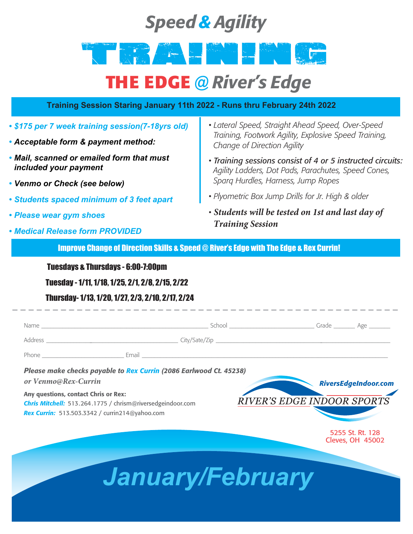### *Speed & Agility*

## TRAINING AND A PARTIES

### **THE EDGE** *@ River's Edge*

### **Training Session Staring January 11th 2022 - Runs thru February 24th 2022**

- *• \$175 per 7 week training session(7-18yrs old)*
- *• Acceptable form & payment method:*
- *• Mail, scanned or emailed form that must included your payment*
- *• Venmo or Check (see below)*
- *• Students spaced minimum of 3 feet apart*
- *• Please wear gym shoes*
- *• Medical Release form PROVIDED*
- *Lateral Speed, Straight Ahead Speed, Over-Speed Training, Footwork Agility, Explosive Speed Training, Change of Direction Agility*
- *• Training sessions consist of 4 or 5 instructed circuits: Agility Ladders, Dot Pads, Parachutes, Speed Cones, Sparq Hurdles, Harness, Jump Ropes*
- *Plyometric Box Jump Drills for Jr. High & older*
- *• Students will be tested on 1st and last day of Training Session*

Improve Change of Direction Skills & Speed @ River's Edge with The Edge & Rex Currin!

Tuesdays & Thursdays - 6:00-7:00pm

Tuesday - 1/11, 1/18, 1/25, 2/1, 2/8, 2/15, 2/22

#### Thursday- 1/13, 1/20, 1/27, 2/3, 2/10, 2/17, 2/24

| Please make checks payable to Rex Currin (2086 Earlwood Ct. 45238) |  |                                   |                             |
|--------------------------------------------------------------------|--|-----------------------------------|-----------------------------|
| or Venmo@Rex-Currin                                                |  |                                   | <b>RiversEdgeIndoor.com</b> |
| Any questions, contact Chris or Rex:                               |  |                                   |                             |
| <b>Chris Mitchell:</b> 513.264.1775 / chrism@riversedgeindoor.com  |  | <b>RIVER'S EDGE INDOOR SPORTS</b> |                             |
| <b>Rex Currin:</b> 513.503.3342 / currin214@yahoo.com              |  |                                   |                             |

5255 St. Rt. 128 Cleves, OH 45002

# *January/February*